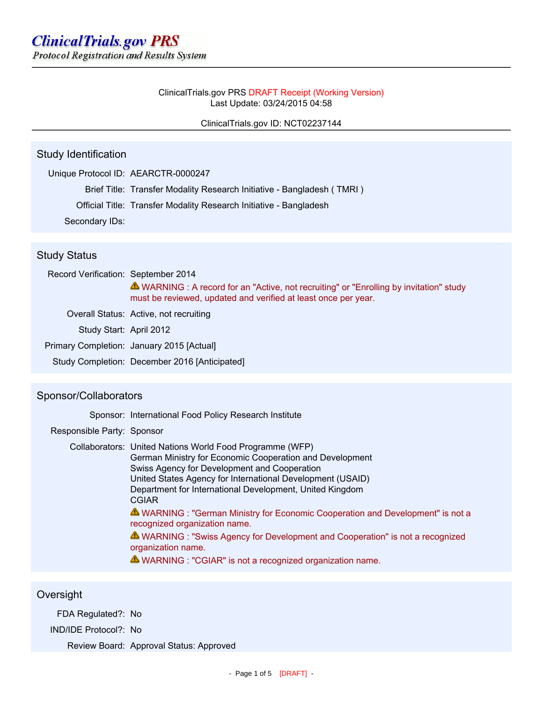#### ClinicalTrials.gov PRS DRAFT Receipt (Working Version) Last Update: 03/24/2015 04:58

### ClinicalTrials.gov ID: NCT02237144

# Study Identification

|                | Unique Protocol ID: AEARCTR-0000247                                    |
|----------------|------------------------------------------------------------------------|
|                | Brief Title: Transfer Modality Research Initiative - Bangladesh (TMRI) |
|                | Official Title: Transfer Modality Research Initiative - Bangladesh     |
| Secondary IDs: |                                                                        |

## Study Status

| Record Verification: September 2014 |                                                                                                                                                           |
|-------------------------------------|-----------------------------------------------------------------------------------------------------------------------------------------------------------|
|                                     | ▲ WARNING : A record for an "Active, not recruiting" or "Enrolling by invitation" study<br>must be reviewed, updated and verified at least once per year. |
|                                     | Overall Status: Active, not recruiting                                                                                                                    |
| Study Start: April 2012             |                                                                                                                                                           |
|                                     | Primary Completion: January 2015 [Actual]                                                                                                                 |
|                                     | Study Completion: December 2016 [Anticipated]                                                                                                             |

## Sponsor/Collaborators

|                            | Sponsor: International Food Policy Research Institute                                                                                                                                                                                                                                                                                                                                                                                                                                                                                                                                                    |
|----------------------------|----------------------------------------------------------------------------------------------------------------------------------------------------------------------------------------------------------------------------------------------------------------------------------------------------------------------------------------------------------------------------------------------------------------------------------------------------------------------------------------------------------------------------------------------------------------------------------------------------------|
| Responsible Party: Sponsor |                                                                                                                                                                                                                                                                                                                                                                                                                                                                                                                                                                                                          |
|                            | Collaborators: United Nations World Food Programme (WFP)<br>German Ministry for Economic Cooperation and Development<br>Swiss Agency for Development and Cooperation<br>United States Agency for International Development (USAID)<br>Department for International Development, United Kingdom<br><b>CGIAR</b><br>A WARNING : "German Ministry for Economic Cooperation and Development" is not a<br>recognized organization name.<br>A WARNING : "Swiss Agency for Development and Cooperation" is not a recognized<br>organization name.<br>A WARNING : "CGIAR" is not a recognized organization name. |

## **Oversight**

FDA Regulated?: No

IND/IDE Protocol?: No

Review Board: Approval Status: Approved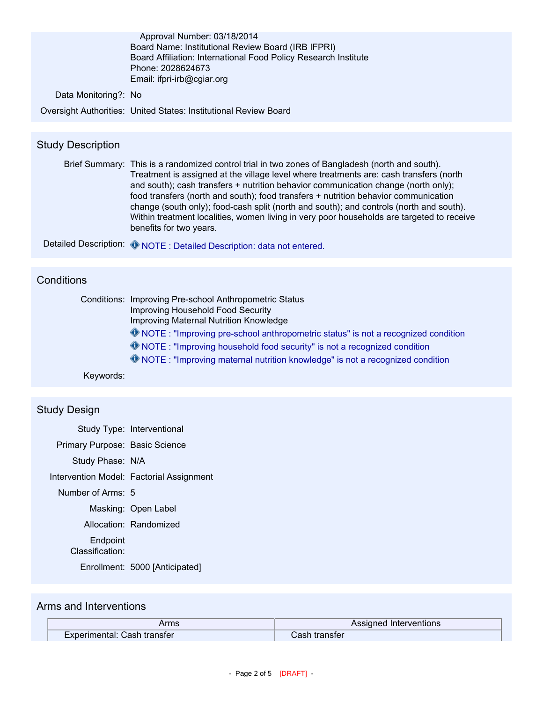|                      | Approval Number: 03/18/2014                                             |
|----------------------|-------------------------------------------------------------------------|
|                      | Board Name: Institutional Review Board (IRB IFPRI)                      |
|                      | Board Affiliation: International Food Policy Research Institute         |
|                      | Phone: 2028624673                                                       |
|                      | Email: ifpri-irb@cgiar.org                                              |
| Data Monitoring?: No |                                                                         |
|                      | <b>Oversight Authorities: United States: Institutional Review Board</b> |

# Study Description

Brief Summary: This is a randomized control trial in two zones of Bangladesh (north and south). Treatment is assigned at the village level where treatments are: cash transfers (north and south); cash transfers + nutrition behavior communication change (north only); food transfers (north and south); food transfers + nutrition behavior communication change (south only); food-cash split (north and south); and controls (north and south). Within treatment localities, women living in very poor households are targeted to receive benefits for two years.

| Detailed Description: O NOTE : Detailed Description: data not enterer |  |  |  |  |  |
|-----------------------------------------------------------------------|--|--|--|--|--|
|-----------------------------------------------------------------------|--|--|--|--|--|

### **Conditions**

| Conditions: Improving Pre-school Anthropometric Status                                         |
|------------------------------------------------------------------------------------------------|
| <b>Improving Household Food Security</b>                                                       |
| Improving Maternal Nutrition Knowledge                                                         |
| <sup>4</sup> NOTE : "Improving pre-school anthropometric status" is not a recognized condition |
| <b>O</b> NOTE: "Improving household food security" is not a recognized condition               |
| <b>W</b> NOTE: "Improving maternal nutrition knowledge" is not a recognized condition          |
|                                                                                                |

Keywords:

### Study Design

|                                | Study Type: Interventional               |
|--------------------------------|------------------------------------------|
| Primary Purpose: Basic Science |                                          |
| Study Phase: N/A               |                                          |
|                                | Intervention Model: Factorial Assignment |
| Number of Arms: 5              |                                          |
|                                | Masking: Open Label                      |
|                                | Allocation: Randomized                   |
| Endpoint<br>Classification:    |                                          |
|                                | Enrollment: 5000 [Anticipated]           |

### Arms and Interventions

| Arms                        | Assigned Interventions |  |
|-----------------------------|------------------------|--|
| Experimental: Cash transfer | Cash transter          |  |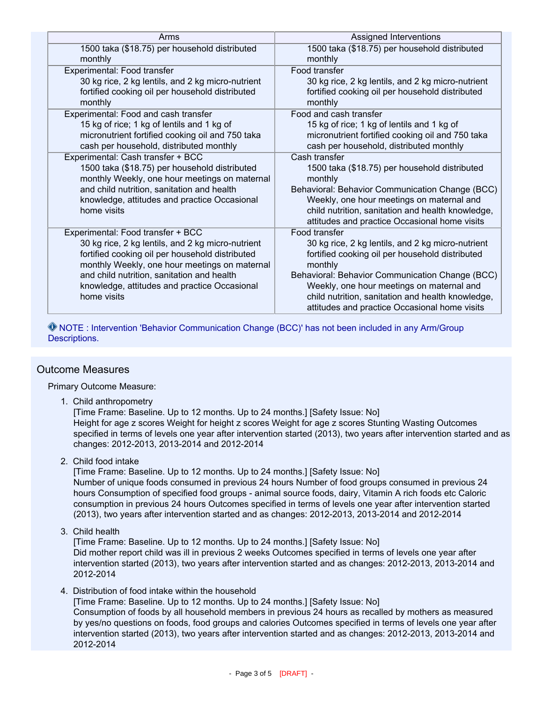| Arms                                                                                           | Assigned Interventions                                     |
|------------------------------------------------------------------------------------------------|------------------------------------------------------------|
| 1500 taka (\$18.75) per household distributed<br>monthly                                       | 1500 taka (\$18.75) per household distributed<br>monthly   |
| Experimental: Food transfer                                                                    | Food transfer                                              |
| 30 kg rice, 2 kg lentils, and 2 kg micro-nutrient                                              | 30 kg rice, 2 kg lentils, and 2 kg micro-nutrient          |
| fortified cooking oil per household distributed<br>monthly                                     | fortified cooking oil per household distributed<br>monthly |
| Experimental: Food and cash transfer                                                           | Food and cash transfer                                     |
| 15 kg of rice; 1 kg of lentils and 1 kg of                                                     | 15 kg of rice; 1 kg of lentils and 1 kg of                 |
| micronutrient fortified cooking oil and 750 taka                                               | micronutrient fortified cooking oil and 750 taka           |
| cash per household, distributed monthly                                                        | cash per household, distributed monthly                    |
| Experimental: Cash transfer + BCC                                                              | Cash transfer                                              |
| 1500 taka (\$18.75) per household distributed<br>monthly Weekly, one hour meetings on maternal | 1500 taka (\$18.75) per household distributed<br>monthly   |
| and child nutrition, sanitation and health                                                     | Behavioral: Behavior Communication Change (BCC)            |
| knowledge, attitudes and practice Occasional                                                   | Weekly, one hour meetings on maternal and                  |
| home visits                                                                                    | child nutrition, sanitation and health knowledge,          |
|                                                                                                | attitudes and practice Occasional home visits              |
| Experimental: Food transfer + BCC                                                              | Food transfer                                              |
| 30 kg rice, 2 kg lentils, and 2 kg micro-nutrient                                              | 30 kg rice, 2 kg lentils, and 2 kg micro-nutrient          |
| fortified cooking oil per household distributed                                                | fortified cooking oil per household distributed            |
| monthly Weekly, one hour meetings on maternal                                                  | monthly                                                    |
| and child nutrition, sanitation and health                                                     | Behavioral: Behavior Communication Change (BCC)            |
| knowledge, attitudes and practice Occasional                                                   | Weekly, one hour meetings on maternal and                  |
| home visits                                                                                    | child nutrition, sanitation and health knowledge,          |
|                                                                                                | attitudes and practice Occasional home visits              |

 NOTE : Intervention 'Behavior Communication Change (BCC)' has not been included in any Arm/Group Descriptions.

### Outcome Measures

Primary Outcome Measure:

1. Child anthropometry

[Time Frame: Baseline. Up to 12 months. Up to 24 months.] [Safety Issue: No] Height for age z scores Weight for height z scores Weight for age z scores Stunting Wasting Outcomes specified in terms of levels one year after intervention started (2013), two years after intervention started and as changes: 2012-2013, 2013-2014 and 2012-2014

2. Child food intake

[Time Frame: Baseline. Up to 12 months. Up to 24 months.] [Safety Issue: No] Number of unique foods consumed in previous 24 hours Number of food groups consumed in previous 24 hours Consumption of specified food groups - animal source foods, dairy, Vitamin A rich foods etc Caloric consumption in previous 24 hours Outcomes specified in terms of levels one year after intervention started (2013), two years after intervention started and as changes: 2012-2013, 2013-2014 and 2012-2014

3. Child health

[Time Frame: Baseline. Up to 12 months. Up to 24 months.] [Safety Issue: No] Did mother report child was ill in previous 2 weeks Outcomes specified in terms of levels one year after intervention started (2013), two years after intervention started and as changes: 2012-2013, 2013-2014 and 2012-2014

4. Distribution of food intake within the household

[Time Frame: Baseline. Up to 12 months. Up to 24 months.] [Safety Issue: No] Consumption of foods by all household members in previous 24 hours as recalled by mothers as measured by yes/no questions on foods, food groups and calories Outcomes specified in terms of levels one year after intervention started (2013), two years after intervention started and as changes: 2012-2013, 2013-2014 and 2012-2014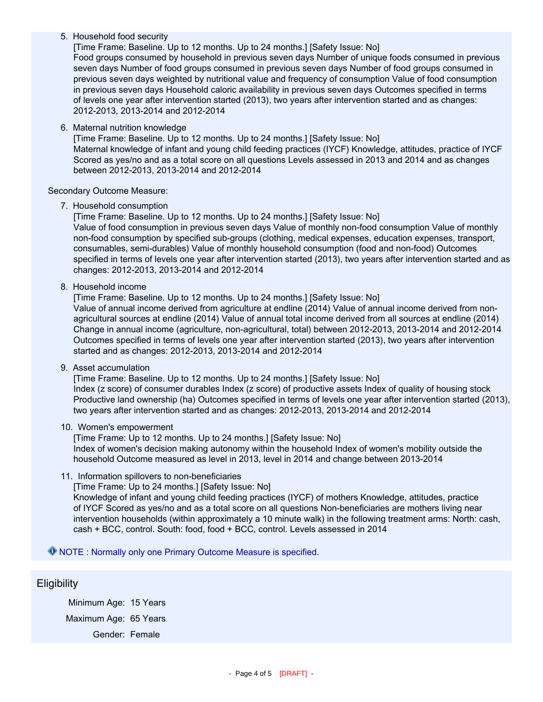#### 5. Household food security

[Time Frame: Baseline. Up to 12 months. Up to 24 months.] [Safety Issue: No] Food groups consumed by household in previous seven days Number of unique foods consumed in previous seven days Number of food groups consumed in previous seven days Number of food groups consumed in previous seven days weighted by nutritional value and frequency of consumption Value of food consumption in previous seven days Household caloric availability in previous seven days Outcomes specified in terms of levels one year after intervention started (2013), two years after intervention started and as changes: 2012-2013, 2013-2014 and 2012-2014

#### 6. Maternal nutrition knowledge

[Time Frame: Baseline. Up to 12 months. Up to 24 months.] [Safety Issue: No] Maternal knowledge of infant and young child feeding practices (IYCF) Knowledge, attitudes, practice of IYCF Scored as yes/no and as a total score on all questions Levels assessed in 2013 and 2014 and as changes between 2012-2013, 2013-2014 and 2012-2014

Secondary Outcome Measure:

7. Household consumption

[Time Frame: Baseline. Up to 12 months. Up to 24 months.] [Safety Issue: No] Value of food consumption in previous seven days Value of monthly non-food consumption Value of monthly non-food consumption by specified sub-groups (clothing, medical expenses, education expenses, transport, consumables, semi-durables) Value of monthly household consumption (food and non-food) Outcomes specified in terms of levels one year after intervention started (2013), two years after intervention started and as changes: 2012-2013, 2013-2014 and 2012-2014

8. Household income

[Time Frame: Baseline. Up to 12 months. Up to 24 months.] [Safety Issue: No] Value of annual income derived from agriculture at endline (2014) Value of annual income derived from nonagricultural sources at endline (2014) Value of annual total income derived from all sources at endline (2014) Change in annual income (agriculture, non-agricultural, total) between 2012-2013, 2013-2014 and 2012-2014 Outcomes specified in terms of levels one year after intervention started (2013), two years after intervention started and as changes: 2012-2013, 2013-2014 and 2012-2014

9. Asset accumulation

[Time Frame: Baseline. Up to 12 months. Up to 24 months.] [Safety Issue: No] Index (z score) of consumer durables Index (z score) of productive assets Index of quality of housing stock Productive land ownership (ha) Outcomes specified in terms of levels one year after intervention started (2013), two years after intervention started and as changes: 2012-2013, 2013-2014 and 2012-2014

#### 10. Women's empowerment

[Time Frame: Up to 12 months. Up to 24 months.] [Safety Issue: No] Index of women's decision making autonomy within the household Index of women's mobility outside the household Outcome measured as level in 2013, level in 2014 and change between 2013-2014

11. Information spillovers to non-beneficiaries

[Time Frame: Up to 24 months.] [Safety Issue: No]

Knowledge of infant and young child feeding practices (IYCF) of mothers Knowledge, attitudes, practice of IYCF Scored as yes/no and as a total score on all questions Non-beneficiaries are mothers living near intervention households (within approximately a 10 minute walk) in the following treatment arms: North: cash, cash + BCC, control. South: food, food + BCC, control. Levels assessed in 2014

NOTE : Normally only one Primary Outcome Measure is specified.

#### **Eligibility**

Minimum Age: 15 Years Maximum Age: 65 Years Gender: Female